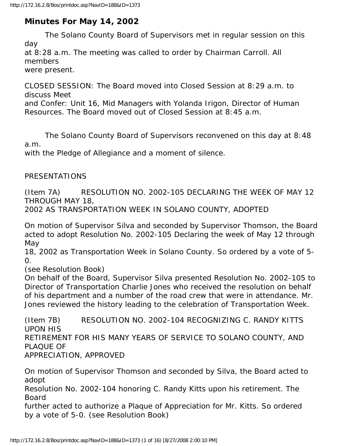# **Minutes For May 14, 2002**

 The Solano County Board of Supervisors met in regular session on this day

at 8:28 a.m. The meeting was called to order by Chairman Carroll. All members

were present.

CLOSED SESSION: The Board moved into Closed Session at 8:29 a.m. to discuss Meet

and Confer: Unit 16, Mid Managers with Yolanda Irigon, Director of Human Resources. The Board moved out of Closed Session at 8:45 a.m.

 The Solano County Board of Supervisors reconvened on this day at 8:48 a.m.

with the Pledge of Allegiance and a moment of silence.

#### PRESENTATIONS

(Item 7A) RESOLUTION NO. 2002-105 DECLARING THE WEEK OF MAY 12 THROUGH MAY 18,

2002 AS TRANSPORTATION WEEK IN SOLANO COUNTY, ADOPTED

On motion of Supervisor Silva and seconded by Supervisor Thomson, the Board acted to adopt Resolution No. 2002-105 Declaring the week of May 12 through May

18, 2002 as Transportation Week in Solano County. So ordered by a vote of 5- 0.

(see Resolution Book)

On behalf of the Board, Supervisor Silva presented Resolution No. 2002-105 to Director of Transportation Charlie Jones who received the resolution on behalf of his department and a number of the road crew that were in attendance. Mr. Jones reviewed the history leading to the celebration of Transportation Week.

(Item 7B) RESOLUTION NO. 2002-104 RECOGNIZING C. RANDY KITTS UPON HIS RETIREMENT FOR HIS MANY YEARS OF SERVICE TO SOLANO COUNTY, AND PLAQUE OF APPRECIATION, APPROVED

On motion of Supervisor Thomson and seconded by Silva, the Board acted to adopt

Resolution No. 2002-104 honoring C. Randy Kitts upon his retirement. The Board

further acted to authorize a Plaque of Appreciation for Mr. Kitts. So ordered by a vote of 5-0. (see Resolution Book)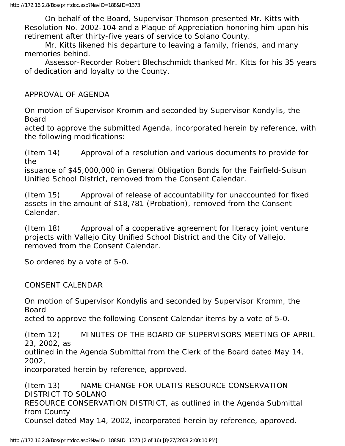On behalf of the Board, Supervisor Thomson presented Mr. Kitts with Resolution No. 2002-104 and a Plaque of Appreciation honoring him upon his retirement after thirty-five years of service to Solano County.

 Mr. Kitts likened his departure to leaving a family, friends, and many memories behind.

 Assessor-Recorder Robert Blechschmidt thanked Mr. Kitts for his 35 years of dedication and loyalty to the County.

APPROVAL OF AGENDA

On motion of Supervisor Kromm and seconded by Supervisor Kondylis, the Board

acted to approve the submitted Agenda, incorporated herein by reference, with the following modifications:

(Item 14) Approval of a resolution and various documents to provide for the

issuance of \$45,000,000 in General Obligation Bonds for the Fairfield-Suisun Unified School District, removed from the Consent Calendar.

(Item 15) Approval of release of accountability for unaccounted for fixed assets in the amount of \$18,781 (Probation), removed from the Consent Calendar.

(Item 18) Approval of a cooperative agreement for literacy joint venture projects with Vallejo City Unified School District and the City of Vallejo, removed from the Consent Calendar.

So ordered by a vote of 5-0.

CONSENT CALENDAR

On motion of Supervisor Kondylis and seconded by Supervisor Kromm, the Board

acted to approve the following Consent Calendar items by a vote of 5-0.

(Item 12) MINUTES OF THE BOARD OF SUPERVISORS MEETING OF APRIL 23, 2002, as

outlined in the Agenda Submittal from the Clerk of the Board dated May 14, 2002,

incorporated herein by reference, approved.

(Item 13) NAME CHANGE FOR ULATIS RESOURCE CONSERVATION DISTRICT TO SOLANO RESOURCE CONSERVATION DISTRICT, as outlined in the Agenda Submittal from County Counsel dated May 14, 2002, incorporated herein by reference, approved.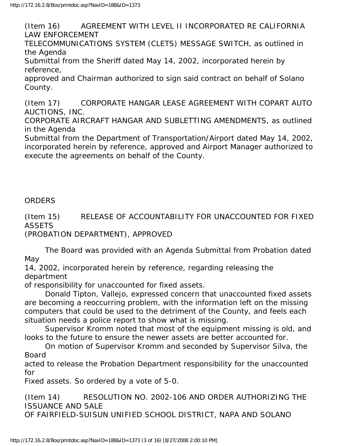(Item 16) AGREEMENT WITH LEVEL II INCORPORATED RE CALIFORNIA LAW ENFORCEMENT

TELECOMMUNICATIONS SYSTEM (CLETS) MESSAGE SWITCH, as outlined in the Agenda

Submittal from the Sheriff dated May 14, 2002, incorporated herein by reference,

approved and Chairman authorized to sign said contract on behalf of Solano County.

(Item 17) CORPORATE HANGAR LEASE AGREEMENT WITH COPART AUTO AUCTIONS, INC.

CORPORATE AIRCRAFT HANGAR AND SUBLETTING AMENDMENTS, as outlined in the Agenda

Submittal from the Department of Transportation/Airport dated May 14, 2002, incorporated herein by reference, approved and Airport Manager authorized to execute the agreements on behalf of the County.

#### ORDERS

(Item 15) RELEASE OF ACCOUNTABILITY FOR UNACCOUNTED FOR FIXED **ASSETS** 

(PROBATION DEPARTMENT), APPROVED

 The Board was provided with an Agenda Submittal from Probation dated May

14, 2002, incorporated herein by reference, regarding releasing the department

of responsibility for unaccounted for fixed assets.

 Donald Tipton, Vallejo, expressed concern that unaccounted fixed assets are becoming a reoccurring problem, with the information left on the missing computers that could be used to the detriment of the County, and feels each situation needs a police report to show what is missing.

 Supervisor Kromm noted that most of the equipment missing is old, and looks to the future to ensure the newer assets are better accounted for.

 On motion of Supervisor Kromm and seconded by Supervisor Silva, the Board

acted to release the Probation Department responsibility for the unaccounted for

Fixed assets. So ordered by a vote of 5-0.

(Item 14) RESOLUTION NO. 2002-106 AND ORDER AUTHORIZING THE ISSUANCE AND SALE OF FAIRFIELD-SUISUN UNIFIED SCHOOL DISTRICT, NAPA AND SOLANO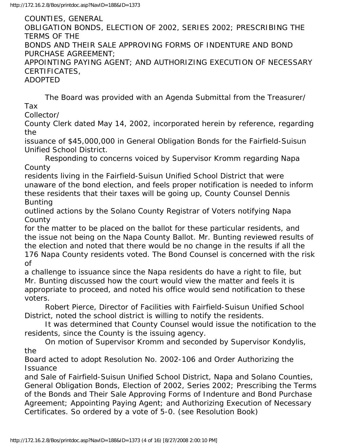COUNTIES, GENERAL OBLIGATION BONDS, ELECTION OF 2002, SERIES 2002; PRESCRIBING THE TERMS OF THE BONDS AND THEIR SALE APPROVING FORMS OF INDENTURE AND BOND PURCHASE AGREEMENT; APPOINTING PAYING AGENT; AND AUTHORIZING EXECUTION OF NECESSARY CERTIFICATES, ADOPTED

 The Board was provided with an Agenda Submittal from the Treasurer/ Tax

Collector/

County Clerk dated May 14, 2002, incorporated herein by reference, regarding the

issuance of \$45,000,000 in General Obligation Bonds for the Fairfield-Suisun Unified School District.

 Responding to concerns voiced by Supervisor Kromm regarding Napa County

residents living in the Fairfield-Suisun Unified School District that were unaware of the bond election, and feels proper notification is needed to inform these residents that their taxes will be going up, County Counsel Dennis Bunting

outlined actions by the Solano County Registrar of Voters notifying Napa **County** 

for the matter to be placed on the ballot for these particular residents, and the issue not being on the Napa County Ballot. Mr. Bunting reviewed results of the election and noted that there would be no change in the results if all the 176 Napa County residents voted. The Bond Counsel is concerned with the risk of

a challenge to issuance since the Napa residents do have a right to file, but Mr. Bunting discussed how the court would view the matter and feels it is appropriate to proceed, and noted his office would send notification to these voters.

 Robert Pierce, Director of Facilities with Fairfield-Suisun Unified School District, noted the school district is willing to notify the residents.

 It was determined that County Counsel would issue the notification to the residents, since the County is the issuing agency.

 On motion of Supervisor Kromm and seconded by Supervisor Kondylis, the

Board acted to adopt Resolution No. 2002-106 and Order Authorizing the **Issuance** 

and Sale of Fairfield-Suisun Unified School District, Napa and Solano Counties, General Obligation Bonds, Election of 2002, Series 2002; Prescribing the Terms of the Bonds and Their Sale Approving Forms of Indenture and Bond Purchase Agreement; Appointing Paying Agent; and Authorizing Execution of Necessary Certificates. So ordered by a vote of 5-0. (see Resolution Book)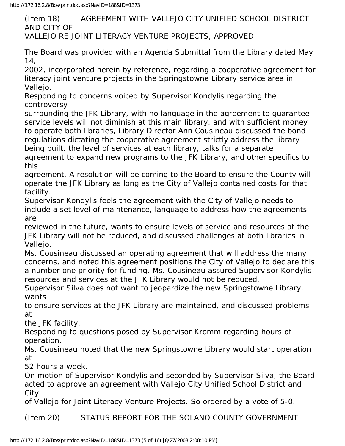(Item 18) AGREEMENT WITH VALLEJO CITY UNIFIED SCHOOL DISTRICT AND CITY OF VALLEJO RE JOINT LITERACY VENTURE PROJECTS, APPROVED

The Board was provided with an Agenda Submittal from the Library dated May 14,

2002, incorporated herein by reference, regarding a cooperative agreement for literacy joint venture projects in the Springstowne Library service area in Vallejo.

Responding to concerns voiced by Supervisor Kondylis regarding the controversy

surrounding the JFK Library, with no language in the agreement to guarantee service levels will not diminish at this main library, and with sufficient money to operate both libraries, Library Director Ann Cousineau discussed the bond regulations dictating the cooperative agreement strictly address the library being built, the level of services at each library, talks for a separate

agreement to expand new programs to the JFK Library, and other specifics to this

agreement. A resolution will be coming to the Board to ensure the County will operate the JFK Library as long as the City of Vallejo contained costs for that facility.

Supervisor Kondylis feels the agreement with the City of Vallejo needs to include a set level of maintenance, language to address how the agreements are

reviewed in the future, wants to ensure levels of service and resources at the JFK Library will not be reduced, and discussed challenges at both libraries in Vallejo.

Ms. Cousineau discussed an operating agreement that will address the many concerns, and noted this agreement positions the City of Vallejo to declare this a number one priority for funding. Ms. Cousineau assured Supervisor Kondylis resources and services at the JFK Library would not be reduced.

Supervisor Silva does not want to jeopardize the new Springstowne Library, wants

to ensure services at the JFK Library are maintained, and discussed problems at

the JFK facility.

Responding to questions posed by Supervisor Kromm regarding hours of operation,

Ms. Cousineau noted that the new Springstowne Library would start operation at

52 hours a week.

On motion of Supervisor Kondylis and seconded by Supervisor Silva, the Board acted to approve an agreement with Vallejo City Unified School District and City

of Vallejo for Joint Literacy Venture Projects. So ordered by a vote of 5-0.

(Item 20) STATUS REPORT FOR THE SOLANO COUNTY GOVERNMENT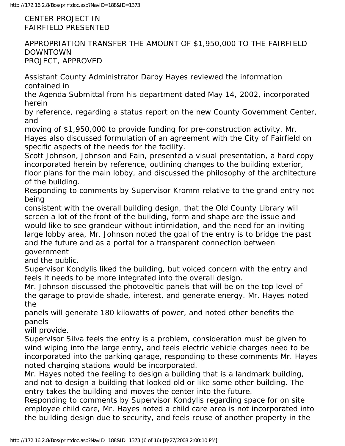CENTER PROJECT IN FAIRFIELD PRESENTED

APPROPRIATION TRANSFER THE AMOUNT OF \$1,950,000 TO THE FAIRFIELD DOWNTOWN PROJECT, APPROVED

Assistant County Administrator Darby Hayes reviewed the information contained in

the Agenda Submittal from his department dated May 14, 2002, incorporated herein

by reference, regarding a status report on the new County Government Center, and

moving of \$1,950,000 to provide funding for pre-construction activity. Mr. Hayes also discussed formulation of an agreement with the City of Fairfield on specific aspects of the needs for the facility.

Scott Johnson, Johnson and Fain, presented a visual presentation, a hard copy incorporated herein by reference, outlining changes to the building exterior, floor plans for the main lobby, and discussed the philosophy of the architecture of the building.

Responding to comments by Supervisor Kromm relative to the grand entry not being

consistent with the overall building design, that the Old County Library will screen a lot of the front of the building, form and shape are the issue and would like to see grandeur without intimidation, and the need for an inviting large lobby area, Mr. Johnson noted the goal of the entry is to bridge the past and the future and as a portal for a transparent connection between government

and the public.

Supervisor Kondylis liked the building, but voiced concern with the entry and feels it needs to be more integrated into the overall design.

Mr. Johnson discussed the photoveltic panels that will be on the top level of the garage to provide shade, interest, and generate energy. Mr. Hayes noted the

panels will generate 180 kilowatts of power, and noted other benefits the panels

will provide.

Supervisor Silva feels the entry is a problem, consideration must be given to wind wiping into the large entry, and feels electric vehicle charges need to be incorporated into the parking garage, responding to these comments Mr. Hayes noted charging stations would be incorporated.

Mr. Hayes noted the feeling to design a building that is a landmark building, and not to design a building that looked old or like some other building. The entry takes the building and moves the center into the future.

Responding to comments by Supervisor Kondylis regarding space for on site employee child care, Mr. Hayes noted a child care area is not incorporated into the building design due to security, and feels reuse of another property in the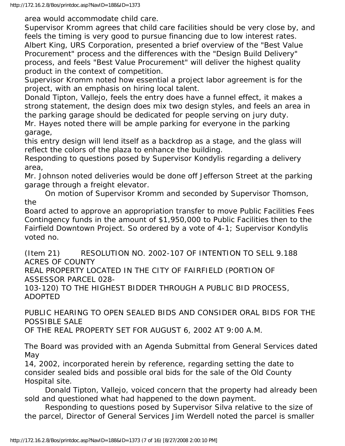area would accommodate child care.

Supervisor Kromm agrees that child care facilities should be very close by, and feels the timing is very good to pursue financing due to low interest rates. Albert King, URS Corporation, presented a brief overview of the "Best Value Procurement" process and the differences with the "Design Build Delivery" process, and feels "Best Value Procurement" will deliver the highest quality product in the context of competition.

Supervisor Kromm noted how essential a project labor agreement is for the project, with an emphasis on hiring local talent.

Donald Tipton, Vallejo, feels the entry does have a funnel effect, it makes a strong statement, the design does mix two design styles, and feels an area in the parking garage should be dedicated for people serving on jury duty. Mr. Hayes noted there will be ample parking for everyone in the parking garage,

this entry design will lend itself as a backdrop as a stage, and the glass will reflect the colors of the plaza to enhance the building.

Responding to questions posed by Supervisor Kondylis regarding a delivery area,

Mr. Johnson noted deliveries would be done off Jefferson Street at the parking garage through a freight elevator.

 On motion of Supervisor Kromm and seconded by Supervisor Thomson, the

Board acted to approve an appropriation transfer to move Public Facilities Fees Contingency funds in the amount of \$1,950,000 to Public Facilities then to the Fairfield Downtown Project. So ordered by a vote of 4-1; Supervisor Kondylis voted no.

(Item 21) RESOLUTION NO. 2002-107 OF INTENTION TO SELL 9.188 ACRES OF COUNTY

REAL PROPERTY LOCATED IN THE CITY OF FAIRFIELD (PORTION OF ASSESSOR PARCEL 028-

103-120) TO THE HIGHEST BIDDER THROUGH A PUBLIC BID PROCESS, ADOPTED

PUBLIC HEARING TO OPEN SEALED BIDS AND CONSIDER ORAL BIDS FOR THE POSSIBLE SALE

OF THE REAL PROPERTY SET FOR AUGUST 6, 2002 AT 9:00 A.M.

The Board was provided with an Agenda Submittal from General Services dated May

14, 2002, incorporated herein by reference, regarding setting the date to consider sealed bids and possible oral bids for the sale of the Old County Hospital site.

 Donald Tipton, Vallejo, voiced concern that the property had already been sold and questioned what had happened to the down payment.

 Responding to questions posed by Supervisor Silva relative to the size of the parcel, Director of General Services Jim Werdell noted the parcel is smaller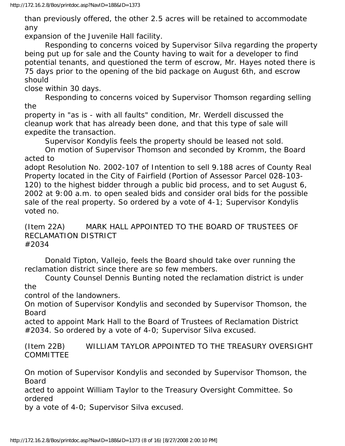than previously offered, the other 2.5 acres will be retained to accommodate any

expansion of the Juvenile Hall facility.

 Responding to concerns voiced by Supervisor Silva regarding the property being put up for sale and the County having to wait for a developer to find potential tenants, and questioned the term of escrow, Mr. Hayes noted there is 75 days prior to the opening of the bid package on August 6th, and escrow should

close within 30 days.

 Responding to concerns voiced by Supervisor Thomson regarding selling the

property in "as is - with all faults" condition, Mr. Werdell discussed the cleanup work that has already been done, and that this type of sale will expedite the transaction.

Supervisor Kondylis feels the property should be leased not sold.

 On motion of Supervisor Thomson and seconded by Kromm, the Board acted to

adopt Resolution No. 2002-107 of Intention to sell 9.188 acres of County Real Property located in the City of Fairfield (Portion of Assessor Parcel 028-103- 120) to the highest bidder through a public bid process, and to set August 6, 2002 at 9:00 a.m. to open sealed bids and consider oral bids for the possible sale of the real property. So ordered by a vote of 4-1; Supervisor Kondylis voted no.

(Item 22A) MARK HALL APPOINTED TO THE BOARD OF TRUSTEES OF RECLAMATION DISTRICT #2034

 Donald Tipton, Vallejo, feels the Board should take over running the reclamation district since there are so few members.

 County Counsel Dennis Bunting noted the reclamation district is under the

control of the landowners.

On motion of Supervisor Kondylis and seconded by Supervisor Thomson, the Board

acted to appoint Mark Hall to the Board of Trustees of Reclamation District #2034. So ordered by a vote of 4-0; Supervisor Silva excused.

(Item 22B) WILLIAM TAYLOR APPOINTED TO THE TREASURY OVERSIGHT **COMMITTEE** 

On motion of Supervisor Kondylis and seconded by Supervisor Thomson, the Board

acted to appoint William Taylor to the Treasury Oversight Committee. So ordered

by a vote of 4-0; Supervisor Silva excused.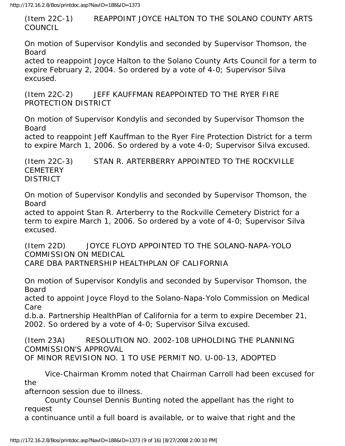(Item 22C-1) REAPPOINT JOYCE HALTON TO THE SOLANO COUNTY ARTS COUNCIL

On motion of Supervisor Kondylis and seconded by Supervisor Thomson, the Board

acted to reappoint Joyce Halton to the Solano County Arts Council for a term to expire February 2, 2004. So ordered by a vote of 4-0; Supervisor Silva excused.

(Item 22C-2) JEFF KAUFFMAN REAPPOINTED TO THE RYER FIRE PROTECTION DISTRICT

On motion of Supervisor Kondylis and seconded by Supervisor Thomson the Board

acted to reappoint Jeff Kauffman to the Ryer Fire Protection District for a term to expire March 1, 2006. So ordered by a vote 4-0; Supervisor Silva excused.

(Item 22C-3) STAN R. ARTERBERRY APPOINTED TO THE ROCKVILLE **CEMETERY** DISTRICT

On motion of Supervisor Kondylis and seconded by Supervisor Thomson, the Board

acted to appoint Stan R. Arterberry to the Rockville Cemetery District for a term to expire March 1, 2006. So ordered by a vote of 4-0; Supervisor Silva excused.

(Item 22D) JOYCE FLOYD APPOINTED TO THE SOLANO-NAPA-YOLO COMMISSION ON MEDICAL CARE DBA PARTNERSHIP HEALTHPLAN OF CALIFORNIA

On motion of Supervisor Kondylis and seconded by Supervisor Thomson, the Board

acted to appoint Joyce Floyd to the Solano-Napa-Yolo Commission on Medical Care

d.b.a. Partnership HealthPlan of California for a term to expire December 21, 2002. So ordered by a vote of 4-0; Supervisor Silva excused.

(Item 23A) RESOLUTION NO. 2002-108 UPHOLDING THE PLANNING COMMISSION'S APPROVAL OF MINOR REVISION NO. 1 TO USE PERMIT NO. U-00-13, ADOPTED

 Vice-Chairman Kromm noted that Chairman Carroll had been excused for the

afternoon session due to illness.

 County Counsel Dennis Bunting noted the appellant has the right to request

a continuance until a full board is available, or to waive that right and the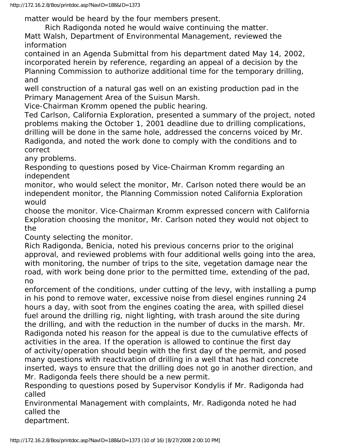matter would be heard by the four members present.

Rich Radigonda noted he would waive continuing the matter.

Matt Walsh, Department of Environmental Management, reviewed the information

contained in an Agenda Submittal from his department dated May 14, 2002, incorporated herein by reference, regarding an appeal of a decision by the Planning Commission to authorize additional time for the temporary drilling, and

well construction of a natural gas well on an existing production pad in the Primary Management Area of the Suisun Marsh.

Vice-Chairman Kromm opened the public hearing.

Ted Carlson, California Exploration, presented a summary of the project, noted problems making the October 1, 2001 deadline due to drilling complications, drilling will be done in the same hole, addressed the concerns voiced by Mr. Radigonda, and noted the work done to comply with the conditions and to correct

any problems.

Responding to questions posed by Vice-Chairman Kromm regarding an independent

monitor, who would select the monitor, Mr. Carlson noted there would be an independent monitor, the Planning Commission noted California Exploration would

choose the monitor. Vice-Chairman Kromm expressed concern with California Exploration choosing the monitor, Mr. Carlson noted they would not object to the

County selecting the monitor.

Rich Radigonda, Benicia, noted his previous concerns prior to the original approval, and reviewed problems with four additional wells going into the area, with monitoring, the number of trips to the site, vegetation damage near the road, with work being done prior to the permitted time, extending of the pad, no

enforcement of the conditions, under cutting of the levy, with installing a pump in his pond to remove water, excessive noise from diesel engines running 24 hours a day, with soot from the engines coating the area, with spilled diesel fuel around the drilling rig, night lighting, with trash around the site during the drilling, and with the reduction in the number of ducks in the marsh. Mr. Radigonda noted his reason for the appeal is due to the cumulative effects of activities in the area. If the operation is allowed to continue the first day of activity/operation should begin with the first day of the permit, and posed many questions with reactivation of drilling in a well that has had concrete inserted, ways to ensure that the drilling does not go in another direction, and Mr. Radigonda feels there should be a new permit.

Responding to questions posed by Supervisor Kondylis if Mr. Radigonda had called

Environmental Management with complaints, Mr. Radigonda noted he had called the

department.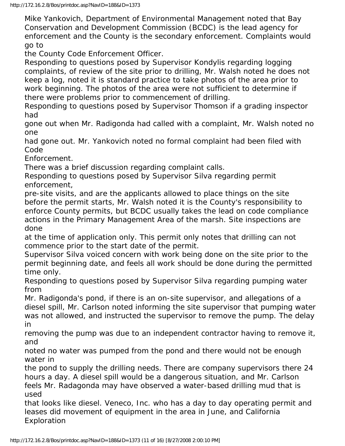Mike Yankovich, Department of Environmental Management noted that Bay Conservation and Development Commission (BCDC) is the lead agency for enforcement and the County is the secondary enforcement. Complaints would go to

the County Code Enforcement Officer.

Responding to questions posed by Supervisor Kondylis regarding logging complaints, of review of the site prior to drilling, Mr. Walsh noted he does not keep a log, noted it is standard practice to take photos of the area prior to work beginning. The photos of the area were not sufficient to determine if there were problems prior to commencement of drilling.

Responding to questions posed by Supervisor Thomson if a grading inspector had

gone out when Mr. Radigonda had called with a complaint, Mr. Walsh noted no one

had gone out. Mr. Yankovich noted no formal complaint had been filed with Code

Enforcement.

There was a brief discussion regarding complaint calls.

Responding to questions posed by Supervisor Silva regarding permit enforcement,

pre-site visits, and are the applicants allowed to place things on the site before the permit starts, Mr. Walsh noted it is the County's responsibility to enforce County permits, but BCDC usually takes the lead on code compliance actions in the Primary Management Area of the marsh. Site inspections are done

at the time of application only. This permit only notes that drilling can not commence prior to the start date of the permit.

Supervisor Silva voiced concern with work being done on the site prior to the permit beginning date, and feels all work should be done during the permitted time only.

Responding to questions posed by Supervisor Silva regarding pumping water from

Mr. Radigonda's pond, if there is an on-site supervisor, and allegations of a diesel spill, Mr. Carlson noted informing the site supervisor that pumping water was not allowed, and instructed the supervisor to remove the pump. The delay in

removing the pump was due to an independent contractor having to remove it, and

noted no water was pumped from the pond and there would not be enough water in

the pond to supply the drilling needs. There are company supervisors there 24 hours a day. A diesel spill would be a dangerous situation, and Mr. Carlson feels Mr. Radagonda may have observed a water-based drilling mud that is used

that looks like diesel. Veneco, Inc. who has a day to day operating permit and leases did movement of equipment in the area in June, and California Exploration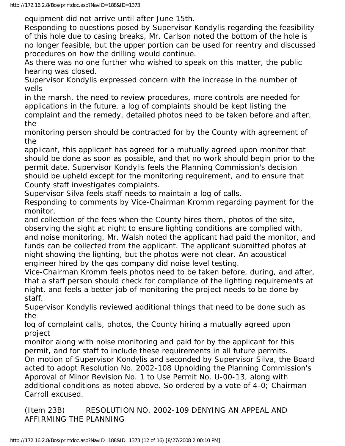equipment did not arrive until after June 15th.

Responding to questions posed by Supervisor Kondylis regarding the feasibility of this hole due to casing breaks, Mr. Carlson noted the bottom of the hole is no longer feasible, but the upper portion can be used for reentry and discussed procedures on how the drilling would continue.

As there was no one further who wished to speak on this matter, the public hearing was closed.

Supervisor Kondylis expressed concern with the increase in the number of wells

in the marsh, the need to review procedures, more controls are needed for applications in the future, a log of complaints should be kept listing the complaint and the remedy, detailed photos need to be taken before and after, the

monitoring person should be contracted for by the County with agreement of the

applicant, this applicant has agreed for a mutually agreed upon monitor that should be done as soon as possible, and that no work should begin prior to the permit date. Supervisor Kondylis feels the Planning Commission's decision should be upheld except for the monitoring requirement, and to ensure that County staff investigates complaints.

Supervisor Silva feels staff needs to maintain a log of calls.

Responding to comments by Vice-Chairman Kromm regarding payment for the monitor,

and collection of the fees when the County hires them, photos of the site, observing the sight at night to ensure lighting conditions are complied with, and noise monitoring, Mr. Walsh noted the applicant had paid the monitor, and funds can be collected from the applicant. The applicant submitted photos at night showing the lighting, but the photos were not clear. An acoustical engineer hired by the gas company did noise level testing.

Vice-Chairman Kromm feels photos need to be taken before, during, and after, that a staff person should check for compliance of the lighting requirements at night, and feels a better job of monitoring the project needs to be done by staff.

Supervisor Kondylis reviewed additional things that need to be done such as the

log of complaint calls, photos, the County hiring a mutually agreed upon project

monitor along with noise monitoring and paid for by the applicant for this permit, and for staff to include these requirements in all future permits. On motion of Supervisor Kondylis and seconded by Supervisor Silva, the Board acted to adopt Resolution No. 2002-108 Upholding the Planning Commission's Approval of Minor Revision No. 1 to Use Permit No. U-00-13, along with additional conditions as noted above. So ordered by a vote of 4-0; Chairman Carroll excused.

(Item 23B) RESOLUTION NO. 2002-109 DENYING AN APPEAL AND AFFIRMING THE PLANNING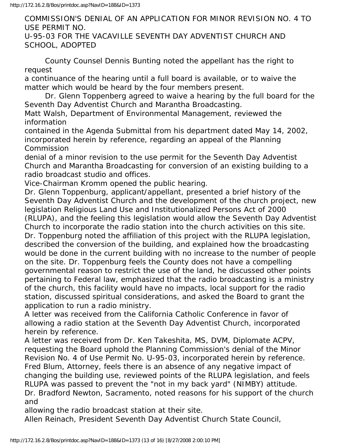COMMISSION'S DENIAL OF AN APPLICATION FOR MINOR REVISION NO. 4 TO USE PERMIT NO. U-95-03 FOR THE VACAVILLE SEVENTH DAY ADVENTIST CHURCH AND

SCHOOL, ADOPTED

 County Counsel Dennis Bunting noted the appellant has the right to request

a continuance of the hearing until a full board is available, or to waive the matter which would be heard by the four members present.

 Dr. Glenn Toppenberg agreed to waive a hearing by the full board for the Seventh Day Adventist Church and Marantha Broadcasting.

Matt Walsh, Department of Environmental Management, reviewed the information

contained in the Agenda Submittal from his department dated May 14, 2002, incorporated herein by reference, regarding an appeal of the Planning **Commission** 

denial of a minor revision to the use permit for the Seventh Day Adventist Church and Marantha Broadcasting for conversion of an existing building to a radio broadcast studio and offices.

Vice-Chairman Kromm opened the public hearing.

Dr. Glenn Toppenburg, applicant/appellant, presented a brief history of the Seventh Day Adventist Church and the development of the church project, new legislation Religious Land Use and Institutionalized Persons Act of 2000 (RLUPA), and the feeling this legislation would allow the Seventh Day Adventist Church to incorporate the radio station into the church activities on this site. Dr. Toppenburg noted the affiliation of this project with the RLUPA legislation, described the conversion of the building, and explained how the broadcasting would be done in the current building with no increase to the number of people on the site. Dr. Toppenburg feels the County does not have a compelling governmental reason to restrict the use of the land, he discussed other points pertaining to Federal law, emphasized that the radio broadcasting is a ministry of the church, this facility would have no impacts, local support for the radio station, discussed spiritual considerations, and asked the Board to grant the application to run a radio ministry.

A letter was received from the California Catholic Conference in favor of allowing a radio station at the Seventh Day Adventist Church, incorporated herein by reference.

A letter was received from Dr. Ken Takeshita, MS, DVM, Diplomate ACPV, requesting the Board uphold the Planning Commission's denial of the Minor Revision No. 4 of Use Permit No. U-95-03, incorporated herein by reference. Fred Blum, Attorney, feels there is an absence of any negative impact of changing the building use, reviewed points of the RLUPA legislation, and feels RLUPA was passed to prevent the "not in my back yard" (NIMBY) attitude. Dr. Bradford Newton, Sacramento, noted reasons for his support of the church and

allowing the radio broadcast station at their site.

Allen Reinach, President Seventh Day Adventist Church State Council,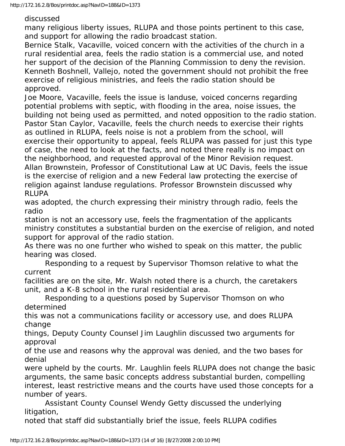discussed

many religious liberty issues, RLUPA and those points pertinent to this case, and support for allowing the radio broadcast station.

Bernice Stalk, Vacaville, voiced concern with the activities of the church in a rural residential area, feels the radio station is a commercial use, and noted her support of the decision of the Planning Commission to deny the revision. Kenneth Boshnell, Vallejo, noted the government should not prohibit the free exercise of religious ministries, and feels the radio station should be approved.

Joe Moore, Vacaville, feels the issue is landuse, voiced concerns regarding potential problems with septic, with flooding in the area, noise issues, the building not being used as permitted, and noted opposition to the radio station. Pastor Stan Caylor, Vacaville, feels the church needs to exercise their rights as outlined in RLUPA, feels noise is not a problem from the school, will exercise their opportunity to appeal, feels RLUPA was passed for just this type of case, the need to look at the facts, and noted there really is no impact on the neighborhood, and requested approval of the Minor Revision request. Allan Brownstein, Professor of Constitutional Law at UC Davis, feels the issue is the exercise of religion and a new Federal law protecting the exercise of religion against landuse regulations. Professor Brownstein discussed why RLUPA

was adopted, the church expressing their ministry through radio, feels the radio

station is not an accessory use, feels the fragmentation of the applicants ministry constitutes a substantial burden on the exercise of religion, and noted support for approval of the radio station.

As there was no one further who wished to speak on this matter, the public hearing was closed.

 Responding to a request by Supervisor Thomson relative to what the current

facilities are on the site, Mr. Walsh noted there is a church, the caretakers unit, and a K-8 school in the rural residential area.

 Responding to a questions posed by Supervisor Thomson on who determined

this was not a communications facility or accessory use, and does RLUPA change

things, Deputy County Counsel Jim Laughlin discussed two arguments for approval

of the use and reasons why the approval was denied, and the two bases for denial

were upheld by the courts. Mr. Laughlin feels RLUPA does not change the basic arguments, the same basic concepts address substantial burden, compelling interest, least restrictive means and the courts have used those concepts for a number of years.

 Assistant County Counsel Wendy Getty discussed the underlying litigation,

noted that staff did substantially brief the issue, feels RLUPA codifies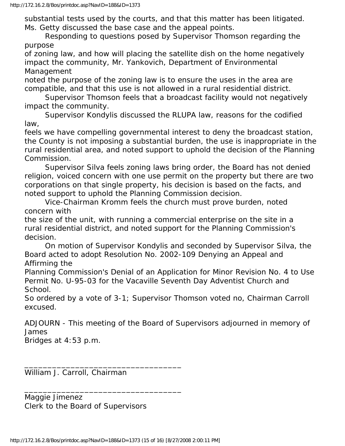substantial tests used by the courts, and that this matter has been litigated. Ms. Getty discussed the base case and the appeal points.

 Responding to questions posed by Supervisor Thomson regarding the purpose

of zoning law, and how will placing the satellite dish on the home negatively impact the community, Mr. Yankovich, Department of Environmental Management

noted the purpose of the zoning law is to ensure the uses in the area are compatible, and that this use is not allowed in a rural residential district.

 Supervisor Thomson feels that a broadcast facility would not negatively impact the community.

 Supervisor Kondylis discussed the RLUPA law, reasons for the codified law,

feels we have compelling governmental interest to deny the broadcast station, the County is not imposing a substantial burden, the use is inappropriate in the rural residential area, and noted support to uphold the decision of the Planning Commission.

 Supervisor Silva feels zoning laws bring order, the Board has not denied religion, voiced concern with one use permit on the property but there are two corporations on that single property, his decision is based on the facts, and noted support to uphold the Planning Commission decision.

 Vice-Chairman Kromm feels the church must prove burden, noted concern with

the size of the unit, with running a commercial enterprise on the site in a rural residential district, and noted support for the Planning Commission's decision.

 On motion of Supervisor Kondylis and seconded by Supervisor Silva, the Board acted to adopt Resolution No. 2002-109 Denying an Appeal and Affirming the

Planning Commission's Denial of an Application for Minor Revision No. 4 to Use Permit No. U-95-03 for the Vacaville Seventh Day Adventist Church and School.

So ordered by a vote of 3-1; Supervisor Thomson voted no, Chairman Carroll excused.

ADJOURN - This meeting of the Board of Supervisors adjourned in memory of James

Bridges at 4:53 p.m.

William J. Carroll, Chairman

Maggie Jimenez Clerk to the Board of Supervisors

\_\_\_\_\_\_\_\_\_\_\_\_\_\_\_\_\_\_\_\_\_\_\_\_\_\_\_\_\_\_\_\_\_\_

\_\_\_\_\_\_\_\_\_\_\_\_\_\_\_\_\_\_\_\_\_\_\_\_\_\_\_\_\_\_\_\_\_\_